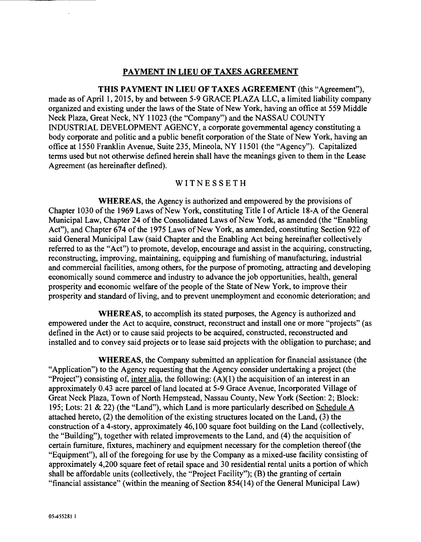### PAYMENT IN LIEU OF TAXES AGREEMENT

THIS PAYMENT IN LIEU OF TAXES AGREEMENT (this "Agreement"), made as of April 1, 2015, by and between 5 -9 GRACE PLAZA LLC, a limited liability company organized and existing under the laws of the State of New York, having an office at 559 Middle Neck Plaza, Great Neck, NY 11023 (the "Company") and the NASSAU COUNTY INDUSTRIAL DEVELOPMENT AGENCY, a corporate governmental agency constituting a body corporate and politic and a public benefit corporation of the State of New York, having an office at 1550 Franklin Avenue, Suite 235, Mineola, NY 11501 (the "Agency"). Capitalized terms used but not otherwise defined herein shall have the meanings given to them in the Lease Agreement (as hereinafter defined).

### WITNESSETH

WHEREAS, the Agency is authorized and empowered by the provisions of Chapter 1030 of the 1969 Laws of New York, constituting Title I of Article 18 -A of the General Municipal Law, Chapter 24 of the Consolidated Laws of New York, as amended (the "Enabling Act"), and Chapter 674 of the 1975 Laws of New York, as amended, constituting Section 922 of said General Municipal Law (said Chapter and the Enabling Act being hereinafter collectively referred to as the "Act") to promote, develop, encourage and assist in the acquiring, constructing, reconstructing, improving, maintaining, equipping and furnishing of manufacturing, industrial and commercial facilities, among others, for the purpose of promoting, attracting and developing economically sound commerce and industry to advance the job opportunities, health, general prosperity and economic welfare of the people of the State of New York, to improve their prosperity and standard of living, and to prevent unemployment and economic deterioration; and

WHEREAS, to accomplish its stated purposes, the Agency is authorized and empowered under the Act to acquire, construct, reconstruct and install one or more "projects" (as defined in the Act) or to cause said projects to be acquired, constructed, reconstructed and installed and to convey said projects or to lease said projects with the obligation to purchase; and

WHEREAS, the Company submitted an application for financial assistance (the "Application") to the Agency requesting that the Agency consider undertaking a project (the "Project") consisting of, inter alia, the following:  $(A)(1)$  the acquisition of an interest in an approximately 0.43 acre parcel of land located at 5 -9 Grace Avenue, Incorporated Village of Great Neck Plaza, Town of North Hempstead, Nassau County, New York (Section: 2; Block: 195; Lots: 21 & 22) (the "Land"), which Land is more particularly described on Schedule A attached hereto, (2) the demolition of the existing structures located on the Land, (3) the construction of a 4 -story, approximately 46,100 square foot building on the Land (collectively, the "Building"), together with related improvements to the Land, and (4) the acquisition of certain furniture, fixtures, machinery and equipment necessary for the completion thereof (the "Equipment"), all of the foregoing for use by the Company as a mixed-use facility consisting of approximately 4,200 square feet of retail space and 30 residential rental units a portion of which shall be affordable units (collectively, the "Project Facility"); (B) the granting of certain "financial assistance" (within the meaning of Section 854(14) of the General Municipal Law)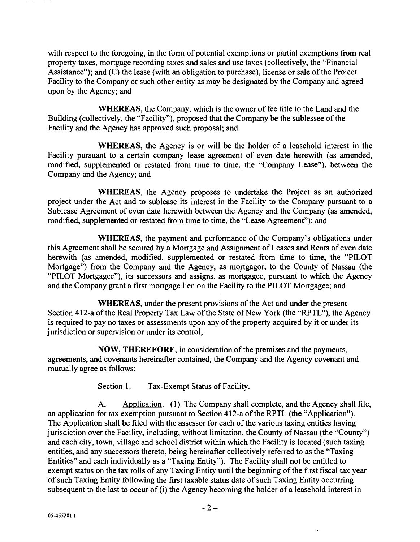with respect to the foregoing, in the form of potential exemptions or partial exemptions from real property taxes, mortgage recording taxes and sales and use taxes (collectively, the "Financial Assistance"); and (C) the lease (with an obligation to purchase), license or sale of the Project Facility to the Company or such other entity as may be designated by the Company and agreed upon by the Agency; and

WHEREAS, the Company, which is the owner of fee title to the Land and the Building (collectively, the "Facility"), proposed that the Company be the sublessee of the Facility and the Agency has approved such proposal; and

WHEREAS, the Agency is or will be the holder of a leasehold interest in the Facility pursuant to a certain company lease agreement of even date herewith (as amended, modified, supplemented or restated from time to time, the "Company Lease"), between the Company and the Agency; and

WHEREAS, the Agency proposes to undertake the Project as an authorized project under the Act and to sublease its interest in the Facility to the Company pursuant to a Sublease Agreement of even date herewith between the Agency and the Company (as amended, modified, supplemented or restated from time to time, the "Lease Agreement"); and

WHEREAS, the payment and performance of the Company's obligations under this Agreement shall be secured by a Mortgage and Assignment of Leases and Rents of even date herewith (as amended, modified, supplemented or restated from time to time, the "PILOT Mortgage") from the Company and the Agency, as mortgagor, to the County of Nassau (the "PILOT Mortgagee"), its successors and assigns, as mortgagee, pursuant to which the Agency and the Company grant a first mortgage lien on the Facility to the PILOT Mortgagee; and

WHEREAS, under the present provisions of the Act and under the present Section 412-a of the Real Property Tax Law of the State of New York (the "RPTL"), the Agency is required to pay no taxes or assessments upon any of the property acquired by it or under its jurisdiction or supervision or under its control;

NOW, THEREFORE, in consideration of the premises and the payments, agreements, and covenants hereinafter contained, the Company and the Agency covenant and mutually agree as follows:

Section 1. Tax-Exempt Status of Facility.

A. Application. (1) The Company shall complete, and the Agency shall file, an application for tax exemption pursuant to Section 412-a of the RPTL (the "Application"). The Application shall be filed with the assessor for each of the various taxing entities having jurisdiction over the Facility, including, without limitation, the County of Nassau (the "County") and each city, town, village and school district within which the Facility is located (such taxing entities, and any successors thereto, being hereinafter collectively referred to as the "Taxing Entities" and each individually as a "Taxing Entity "). The Facility shall not be entitled to exempt status on the tax rolls of any Taxing Entity until the beginning of the first fiscal tax year of such Taxing Entity following the first taxable status date of such Taxing Entity occurring subsequent to the last to occur of (i) the Agency becoming the holder of a leasehold interest in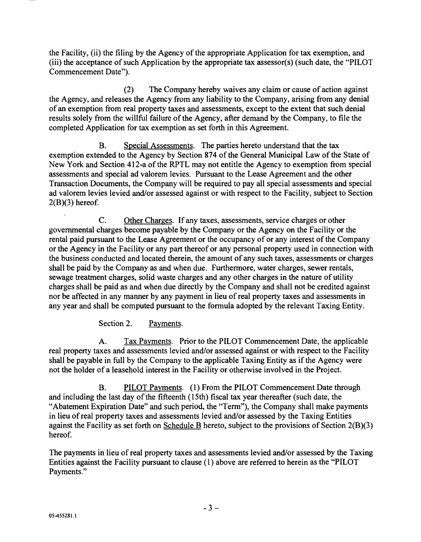the Facility, (ii) the filing by the Agency of the appropriate Application for tax exemption, and (iii) the acceptance of such Application by the appropriate tax assessor(s) (such date, the "PILOT Commencement Date").

(2) The Company hereby waives any claim or cause of action against the Agency, and releases the Agency from any liability to the Company, arising from any denial of an exemption from real property taxes and assessments, except to the extent that such denial results solely from the willful failure of the Agency, after demand by the Company, to file the completed Application for tax exemption as set forth in this Agreement.

B. Special Assessments. The parties hereto understand that the tax exemption extended to the Agency by Section 874 of the General Municipal Law of the State of New York and Section 412 -a of the RPTL may not entitle the Agency to exemption from special assessments and special ad valorem levies. Pursuant to the Lease Agreement and the other Transaction Documents, the Company will be required to pay all special assessments and special ad valorem levies levied and/or assessed against or with respect to the Facility, subject to Section  $2(B)(3)$  hereof.

C. Other Charges. If any taxes, assessments, service charges or other governmental charges become payable by the Company or the Agency on the Facility or the rental paid pursuant to the Lease Agreement or the occupancy of or any interest of the Company or the Agency in the Facility or any part thereof or any personal property used in connection with the business conducted and located therein, the amount of any such taxes, assessments or charges shall be paid by the Company as and when due. Furthermore, water charges, sewer rentals, sewage treatment charges, solid waste charges and any other charges in the nature of utility charges shall be paid as and when due directly by the Company and shall not be credited against nor be affected in any manner by any payment in lieu of real property taxes and assessments in any year and shall be computed pursuant to the formula adopted by the relevant Taxing Entity.

Section 2. Payments.

A. Tax Payments. Prior to the PILOT Commencement Date, the applicable real property taxes and assessments levied and/or assessed against or with respect to the Facility shall be payable in full by the Company to the applicable Taxing Entity as if the Agency were not the holder of a leasehold interest in the Facility or otherwise involved in the Project.

B. PILOT Payments. (1) From the PILOT Commencement Date through and including the last day of the fifteenth (15th) fiscal tax year thereafter (such date, the "Abatement Expiration Date" and such period, the "Term "), the Company shall make payments in lieu of real property taxes and assessments levied and/or assessed by the Taxing Entities against the Facility as set forth on Schedule B hereto, subject to the provisions of Section 2(B)(3) hereof

The payments in lieu of real property taxes and assessments levied and/or assessed by the Taxing Entities against the Facility pursuant to clause (1) above are referred to herein as the "PILOT Payments."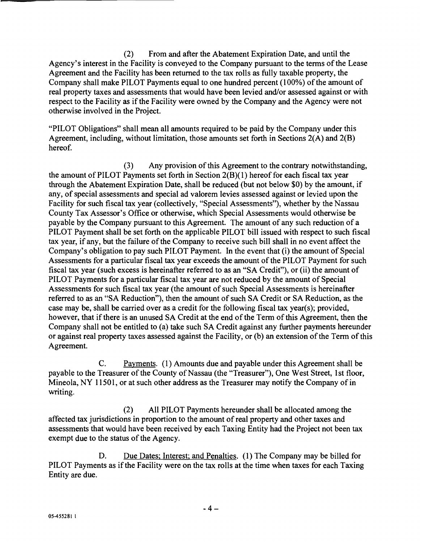(2) From and after the Abatement Expiration Date, and until the Agency's interest in the Facility is conveyed to the Company pursuant to the terms of the Lease Agreement and the Facility has been returned to the tax rolls as fully taxable property, the Company shall make PILOT Payments equal to one hundred percent (100%) of the amount of real property taxes and assessments that would have been levied and/or assessed against or with respect to the Facility as if the Facility were owned by the Company and the Agency were not otherwise involved in the Project.

"PILOT Obligations" shall mean all amounts required to be paid by the Company under this Agreement, including, without limitation, those amounts set forth in Sections 2(A) and 2(B) hereof.

(3) Any provision of this Agreement to the contrary notwithstanding, the amount of PILOT Payments set forth in Section 2(B)(I) hereof for each fiscal tax year through the Abatement Expiration Date, shall be reduced (but not below \$0) by the amount, if any, of special assessments and special ad valorem levies assessed against or levied upon the Facility for such fiscal tax year (collectively, "Special Assessments "), whether by the Nassau County Tax Assessor's Office or otherwise, which Special Assessments would otherwise be payable by the Company pursuant to this Agreement. The amount of any such reduction of a PILOT Payment shall be set forth on the applicable PILOT bill issued with respect to such fiscal tax year, if any, but the failure of the Company to receive such bill shall in no event affect the Company's obligation to pay such PILOT Payment. In the event that (i) the amount of Special Assessments for a particular fiscal tax year exceeds the amount of the PILOT Payment for such fiscal tax year (such excess is hereinafter referred to as an "SA Credit"), or (ii) the amount of PILOT Payments for a particular fiscal tax year are not reduced by the amount of Special Assessments for such fiscal tax year (the amount of such Special Assessments is hereinafter referred to as an "SA Reduction"), then the amount of such SA Credit or SA Reduction, as the case may be, shall be carried over as a credit for the following fiscal tax year(s); provided, however, that if there is an unused SA Credit at the end of the Term of this Agreement, then the Company shall not be entitled to (a) take such SA Credit against any further payments hereunder or against real property taxes assessed against the Facility, or (b) an extension of the Term of this Agreement.

C. Payments. (1) Amounts due and payable under this Agreement shall be payable to the Treasurer of the County of Nassau (the "Treasurer"), One West Street, 1st floor, Mineola, NY 11501, or at such other address as the Treasurer may notify the Company of in writing.

(2) All PILOT Payments hereunder shall be allocated among the affected tax jurisdictions in proportion to the amount of real property and other taxes and assessments that would have been received by each Taxing Entity had the Project not been tax exempt due to the status of the Agency.

D. Due Dates; Interest; and Penalties. (1) The Company may be billed for PILOT Payments as if the Facility were on the tax rolls at the time when taxes for each Taxing Entity are due.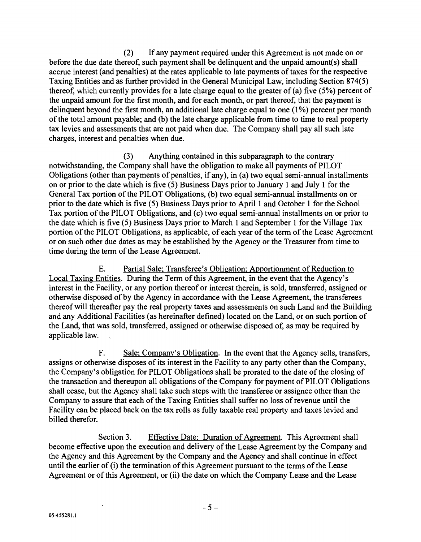(2) If any payment required under this Agreement is not made on or before the due date thereof, such payment shall be delinquent and the unpaid amount(s) shall accrue interest (and penalties) at the rates applicable to late payments of taxes for the respective Taxing Entities and as further provided in the General Municipal Law, including Section 874(5) thereof, which currently provides for a late charge equal to the greater of (a) five  $(5%)$  percent of the unpaid amount for the first month, and for each month, or part thereof, that the payment is delinquent beyond the first month, an additional late charge equal to one (1%) percent per month of the total amount payable; and (b) the late charge applicable from time to time to real property tax levies and assessments that are not paid when due. The Company shall pay all such late charges, interest and penalties when due.

(3) Anything contained in this subparagraph to the contrary notwithstanding, the Company shall have the obligation to make all payments of PILOT Obligations (other than payments of penalties, if any), in (a) two equal semi -annual installments on or prior to the date which is five (5) Business Days prior to January 1 and July 1 for the General Tax portion of the PILOT Obligations, (b) two equal semi -annual installments on or prior to the date which is five (5) Business Days prior to April 1 and October 1 for the School Tax portion of the PILOT Obligations, and (c) two equal semi -annual installments on or prior to the date which is five (5) Business Days prior to March 1 and September 1 for the Village Tax portion of the PILOT Obligations, as applicable, of each year of the term of the Lease Agreement or on such other due dates as may be established by the Agency or the Treasurer from time to time during the term of the Lease Agreement.

E. Partial Sale; Transferee's Obligation; Apportionment of Reduction to Local Taxing Entities. During the Term of this Agreement, in the event that the Agency's interest in the Facility, or any portion thereof or interest therein, is sold, transferred, assigned or otherwise disposed of by the Agency in accordance with the Lease Agreement, the transferees thereof will thereafter pay the real property taxes and assessments on such Land and the Building and any Additional Facilities (as hereinafter defined) located on the Land, or on such portion of the Land, that was sold, transferred, assigned or otherwise disposed of, as may be required by applicable law.

F. Sale; Company's Obligation. In the event that the Agency sells, transfers, assigns or otherwise disposes of its interest in the Facility to any party other than the Company, the Company's obligation for PILOT Obligations shall be prorated to the date of the closing of the transaction and thereupon all obligations of the Company for payment of PILOT Obligations shall cease, but the Agency shall take such steps with the transferee or assignee other than the Company to assure that each of the Taxing Entities shall suffer no loss of revenue until the Facility can be placed back on the tax rolls as fully taxable real property and taxes levied and billed therefor.

Section 3. Effective Date: Duration of Agreement. This Agreement shall become effective upon the execution and delivery of the Lease Agreement by the Company and the Agency and this Agreement by the Company and the Agency and shall continue in effect until the earlier of (i) the termination of this Agreement pursuant to the terms of the Lease Agreement or of this Agreement, or (ii) the date on which the Company Lease and the Lease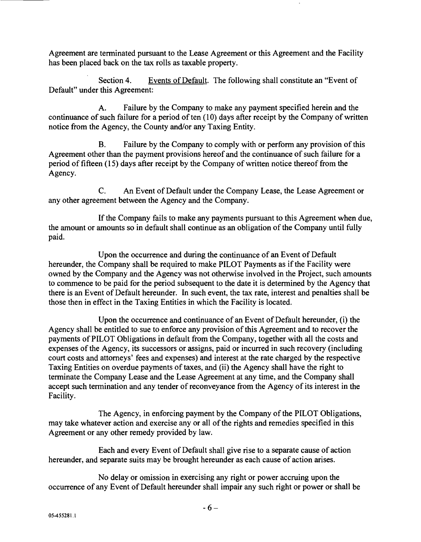Agreement are terminated pursuant to the Lease Agreement or this Agreement and the Facility has been placed back on the tax rolls as taxable property.

Section 4. Events of Default. The following shall constitute an "Event of Default" under this Agreement:

A. Failure by the Company to make any payment specified herein and the continuance of such failure for a period of ten (10) days after receipt by the Company of written notice from the Agency, the County and/or any Taxing Entity.

B. Failure by the Company to comply with or perform any provision of this Agreement other than the payment provisions hereof and the continuance of such failure for a period of fifteen (15) days after receipt by the Company of written notice thereof from the Agency.

C. An Event of Default under the Company Lease, the Lease Agreement or any other agreement between the Agency and the Company.

If the Company fails to make any payments pursuant to this Agreement when due, the amount or amounts so in default shall continue as an obligation of the Company until fully paid.

Upon the occurrence and during the continuance of an Event of Default hereunder, the Company shall be required to make PILOT Payments as if the Facility were owned by the Company and the Agency was not otherwise involved in the Project, such amounts to commence to be paid for the period subsequent to the date it is determined by the Agency that there is an Event of Default hereunder. In such event, the tax rate, interest and penalties shall be those then in effect in the Taxing Entities in which the Facility is located.

Upon the occurrence and continuance of an Event of Default hereunder, (i) the Agency shall be entitled to sue to enforce any provision of this Agreement and to recover the payments of PILOT Obligations in default from the Company, together with all the costs and expenses of the Agency, its successors or assigns, paid or incurred in such recovery (including court costs and attorneys' fees and expenses) and interest at the rate charged by the respective Taxing Entities on overdue payments of taxes, and (ii) the Agency shall have the right to terminate the Company Lease and the Lease Agreement at any time, and the Company shall accept such termination and any tender of reconveyance from the Agency of its interest in the Facility.

The Agency, in enforcing payment by the Company of the PILOT Obligations, may take whatever action and exercise any or all of the rights and remedies specified in this Agreement or any other remedy provided by law.

Each and every Event of Default shall give rise to a separate cause of action hereunder, and separate suits may be brought hereunder as each cause of action arises.

No delay or omission in exercising any right or power accruing upon the occurrence of any Event of Default hereunder shall impair any such right or power or shall be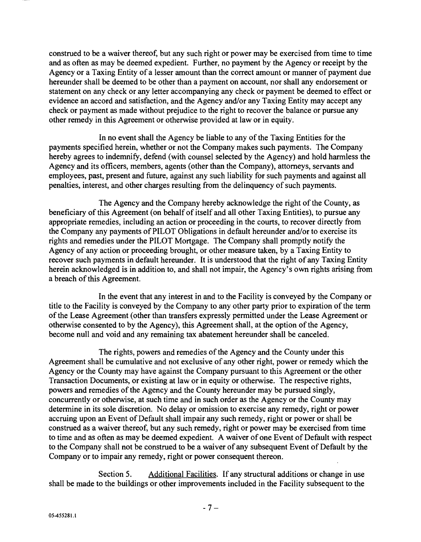construed to be a waiver thereof, but any such right or power may be exercised from time to time and as often as may be deemed expedient. Further, no payment by the Agency or receipt by the Agency or a Taxing Entity of a lesser amount than the correct amount or manner of payment due hereunder shall be deemed to be other than a payment on account, nor shall any endorsement or statement on any check or any letter accompanying any check or payment be deemed to effect or evidence an accord and satisfaction, and the Agency and/or any Taxing Entity may accept any check or payment as made without prejudice to the right to recover the balance or pursue any other remedy in this Agreement or otherwise provided at law or in equity.

In no event shall the Agency be liable to any of the Taxing Entities for the payments specified herein, whether or not the Company makes such payments. The Company hereby agrees to indemnify, defend (with counsel selected by the Agency) and hold harmless the Agency and its officers, members, agents (other than the Company), attorneys, servants and employees, past, present and future, against any such liability for such payments and against all penalties, interest, and other charges resulting from the delinquency of such payments.

The Agency and the Company hereby acknowledge the right of the County, as beneficiary of this Agreement (on behalf of itself and all other Taxing Entities), to pursue any appropriate remedies, including an action or proceeding in the courts, to recover directly from the Company any payments of PILOT Obligations in default hereunder and/or to exercise its rights and remedies under the PILOT Mortgage. The Company shall promptly notify the Agency of any action or proceeding brought, or other measure taken, by a Taxing Entity to recover such payments in default hereunder. It is understood that the right of any Taxing Entity herein acknowledged is in addition to, and shall not impair, the Agency's own rights arising from a breach of this Agreement.

In the event that any interest in and to the Facility is conveyed by the Company or title to the Facility is conveyed by the Company to any other party prior to expiration of the term of the Lease Agreement (other than transfers expressly permitted under the Lease Agreement or otherwise consented to by the Agency), this Agreement shall, at the option of the Agency, become null and void and any remaining tax abatement hereunder shall be canceled.

The rights, powers and remedies of the Agency and the County under this Agreement shall be cumulative and not exclusive of any other right, power or remedy which the Agency or the County may have against the Company pursuant to this Agreement or the other Transaction Documents, or existing at law or in equity or otherwise. The respective rights, powers and remedies of the Agency and the County hereunder may be pursued singly, concurrently or otherwise, at such time and in such order as the Agency or the County may determine in its sole discretion. No delay or omission to exercise any remedy, right or power accruing upon an Event of Default shall impair any such remedy, right or power or shall be construed as a waiver thereof, but any such remedy, right or power may be exercised from time to time and as often as may be deemed expedient. A waiver of one Event of Default with respect to the Company shall not be construed to be a waiver of any subsequent Event of Default by the Company or to impair any remedy, right or power consequent thereon.

Section 5. Additional Facilities. If any structural additions or change in use shall be made to the buildings or other improvements included in the Facility subsequent to the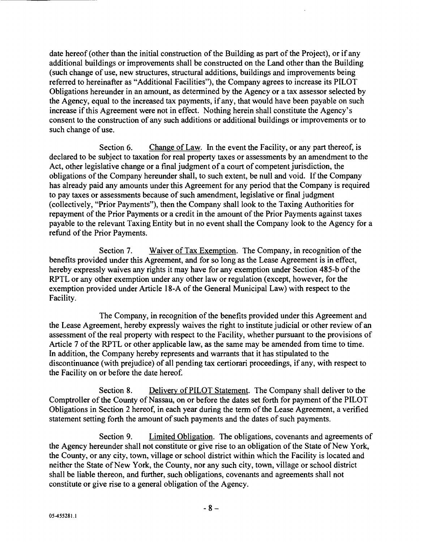date hereof (other than the initial construction of the Building as part of the Project), or if any additional buildings or improvements shall be constructed on the Land other than the Building (such change of use, new structures, structural additions, buildings and improvements being referred to hereinafter as "Additional Facilities"), the Company agrees to increase its PILOT Obligations hereunder in an amount, as determined by the Agency or a tax assessor selected by the Agency, equal to the increased tax payments, if any, that would have been payable on such increase if this Agreement were not in effect. Nothing herein shall constitute the Agency's consent to the construction of any such additions or additional buildings or improvements or to such change of use.

Section 6. Change of Law. In the event the Facility, or any part thereof, is declared to be subject to taxation for real property taxes or assessments by an amendment to the Act, other legislative change or a final judgment of a court of competent jurisdiction, the obligations of the Company hereunder shall, to such extent, be null and void. If the Company has already paid any amounts under this Agreement for any period that the Company is required to pay taxes or assessments because of such amendment, legislative or final judgment (collectively, "Prior Payments "), then the Company shall look to the Taxing Authorities for repayment of the Prior Payments or a credit in the amount of the Prior Payments against taxes payable to the relevant Taxing Entity but in no event shall the Company look to the Agency for a refund of the Prior Payments.

Section 7. Waiver of Tax Exemption. The Company, in recognition of the benefits provided under this Agreement, and for so long as the Lease Agreement is in effect, hereby expressly waives any rights it may have for any exemption under Section 485 -b of the RPTL or any other exemption under any other law or regulation (except, however, for the exemption provided under Article 18 -A of the General Municipal Law) with respect to the Facility.

The Company, in recognition of the benefits provided under this Agreement and the Lease Agreement, hereby expressly waives the right to institute judicial or other review of an assessment of the real property with respect to the Facility, whether pursuant to the provisions of Article 7 of the RPTL or other applicable law, as the same may be amended from time to time. In addition, the Company hereby represents and warrants that it has stipulated to the discontinuance (with prejudice) of all pending tax certiorari proceedings, if any, with respect to the Facility on or before the date hereof.

Section 8. Delivery of PILOT Statement. The Company shall deliver to the Comptroller of the County of Nassau, on or before the dates set forth for payment of the PILOT Obligations in Section 2 hereof, in each year during the term of the Lease Agreement, a verified statement setting forth the amount of such payments and the dates of such payments.

Section 9. Limited Obligation. The obligations, covenants and agreements of the Agency hereunder shall not constitute or give rise to an obligation of the State of New York, the County, or any city, town, village or school district within which the Facility is located and neither the State of New York, the County, nor any such city, town, village or school district shall be liable thereon, and further, such obligations, covenants and agreements shall not constitute or give rise to a general obligation of the Agency.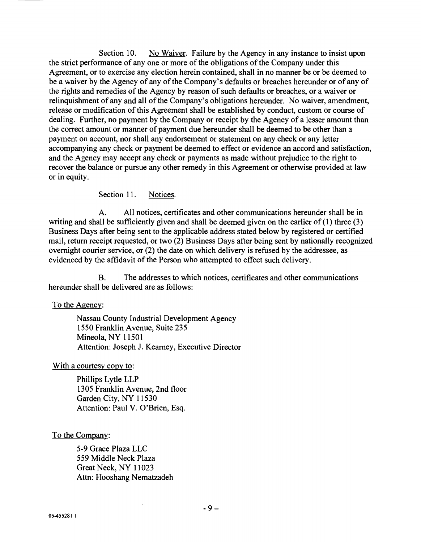Section 10. No Waiver. Failure by the Agency in any instance to insist upon the strict performance of any one or more of the obligations of the Company under this Agreement, or to exercise any election herein contained, shall in no manner be or be deemed to be a waiver by the Agency of any of the Company's defaults or breaches hereunder or of any of the rights and remedies of the Agency by reason of such defaults or breaches, or a waiver or relinquishment of any and all of the Company's obligations hereunder. No waiver, amendment, release or modification of this Agreement shall be established by conduct, custom or course of dealing. Further, no payment by the Company or receipt by the Agency of a lesser amount than the correct amount or manner of payment due hereunder shall be deemed to be other than a payment on account, nor shall any endorsement or statement on any check or any letter accompanying any check or payment be deemed to effect or evidence an accord and satisfaction, and the Agency may accept any check or payments as made without prejudice to the right to recover the balance or pursue any other remedy in this Agreement or otherwise provided at law or in equity.

Section 11. Notices.

A. All notices, certificates and other communications hereunder shall be in writing and shall be sufficiently given and shall be deemed given on the earlier of (1) three (3) Business Days after being sent to the applicable address stated below by registered or certified mail, return receipt requested, or two (2) Business Days after being sent by nationally recognized overnight courier service, or (2) the date on which delivery is refused by the addressee, as evidenced by the affidavit of the Person who attempted to effect such delivery.

B. The addresses to which notices, certificates and other communications hereunder shall be delivered are as follows:

To the Agency:

Nassau County Industrial Development Agency 1550 Franklin Avenue, Suite 235 Mineola, NY 11501 Attention: Joseph J. Kearney, Executive Director

With a courtesy copy to:

Phillips Lytle LLP 1305 Franklin Avenue, 2nd floor Garden City, NY 11530 Attention: Paul V. O'Brien, Esq.

To the Company:

5 -9 Grace Plaza LLC 559 Middle Neck Plaza Great Neck, NY 11023 Attn: Hooshang Nematzadeh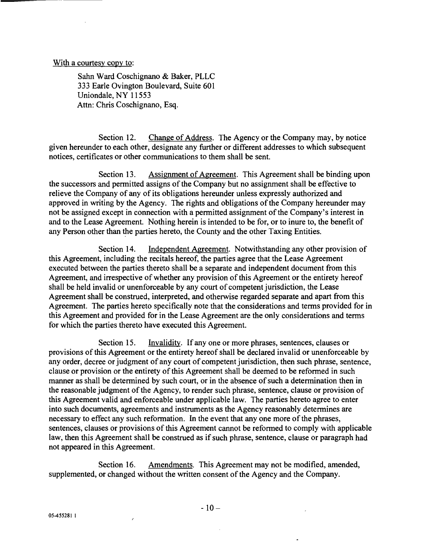### With a courtesy copy to:

Salm Ward Coschignano & Baker, PLLC 333 Earle Ovington Boulevard, Suite 601 Uniondale, NY 11553 Attn: Chris Coschignano, Esq.

Section 12. Change of Address. The Agency or the Company may, by notice given hereunder to each other, designate any further or different addresses to which subsequent notices, certificates or other communications to them shall be sent.

Section 13. Assignment of Agreement. This Agreement shall be binding upon the successors and permitted assigns of the Company but no assignment shall be effective to relieve the Company of any of its obligations hereunder unless expressly authorized and approved in writing by the Agency. The rights and obligations of the Company hereunder may not be assigned except in connection with a permitted assignment of the Company's interest in and to the Lease Agreement. Nothing herein is intended to be for, or to inure to, the benefit of any Person other than the parties hereto, the County and the other Taxing Entities.

Section 14. Independent Agreement. Notwithstanding any other provision of this Agreement, including the recitals hereof, the parties agree that the Lease Agreement executed between the parties thereto shall be a separate and independent document from this Agreement, and irrespective of whether any provision of this Agreement or the entirety hereof shall be held invalid or unenforceable by any court of competent jurisdiction, the Lease Agreement shall be construed, interpreted, and otherwise regarded separate and apart from this Agreement. The parties hereto specifically note that the considerations and terms provided for in this Agreement and provided for in the Lease Agreement are the only considerations and terms for which the parties thereto have executed this Agreement.

Section 15. Invalidity. If any one or more phrases, sentences, clauses or provisions of this Agreement or the entirety hereof shall be declared invalid or unenforceable by any order, decree or judgment of any court of competent jurisdiction, then such phrase, sentence, clause or provision or the entirety of this Agreement shall be deemed to be reformed in such manner as shall be determined by such court, or in the absence of such a determination then in the reasonable judgment of the Agency, to render such phrase, sentence, clause or provision of this Agreement valid and enforceable under applicable law. The parties hereto agree to enter into such documents, agreements and instruments as the Agency reasonably determines are necessary to effect any such reformation. In the event that any one more of the phrases, sentences, clauses or provisions of this Agreement cannot be reformed to comply with applicable law, then this Agreement shall be construed as if such phrase, sentence, clause or paragraph had not appeared in this Agreement.

Section 16. Amendments. This Agreement may not be modified, amended, supplemented, or changed without the written consent of the Agency and the Company.

 $\lambda$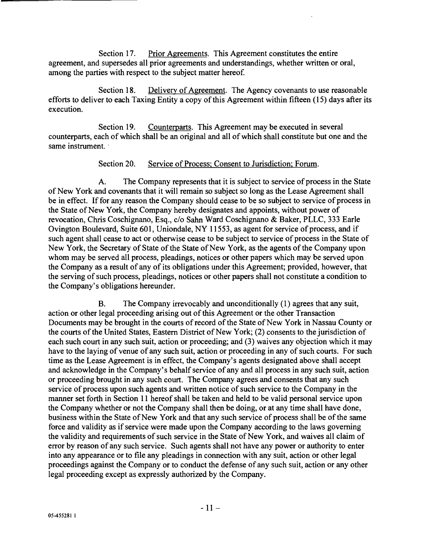Section 17. Prior Agreements. This Agreement constitutes the entire agreement, and supersedes all prior agreements and understandings, whether written or oral, among the parties with respect to the subject matter hereof.

Section 18. Delivery of Agreement. The Agency covenants to use reasonable efforts to deliver to each Taxing Entity a copy of this Agreement within fifteen (15) days after its execution.

Section 19. Counterparts. This Agreement may be executed in several counterparts, each of which shall be an original and all of which shall constitute but one and the same instrument.

## Section 20. Service of Process; Consent to Jurisdiction; Forum.

A. The Company represents that it is subject to service of process in the State of New York and covenants that it will remain so subject so long as the Lease Agreement shall be in effect. If for any reason the Company should cease to be so subject to service of process in the State of New York, the Company hereby designates and appoints, without power of revocation, Chris Coschignano, Esq., c/o Sahn Ward Coschignano & Baker, PLLC, 333 Earle Ovington Boulevard, Suite 601, Uniondale, NY 11553, as agent for service of process, and if such agent shall cease to act or otherwise cease to be subject to service of process in the State of New York, the Secretary of State of the State of New York, as the agents of the Company upon whom may be served all process, pleadings, notices or other papers which may be served upon the Company as a result of any of its obligations under this Agreement; provided, however, that the serving of such process, pleadings, notices or other papers shall not constitute a condition to the Company's obligations hereunder.

B. The Company irrevocably and unconditionally (1) agrees that any suit, action or other legal proceeding arising out of this Agreement or the other Transaction Documents may be brought in the courts of record of the State of New York in Nassau County or the courts of the United States, Eastern District of New York; (2) consents to the jurisdiction of each such court in any such suit, action or proceeding; and (3) waives any objection which it may have to the laying of venue of any such suit, action or proceeding in any of such courts. For such time as the Lease Agreement is in effect, the Company's agents designated above shall accept and acknowledge in the Company's behalf service of any and all process in any such suit, action or proceeding brought in any such court. The Company agrees and consents that any such service of process upon such agents and written notice of such service to the Company in the manner set forth in Section 11 hereof shall be taken and held to be valid personal service upon the Company whether or not the Company shall then be doing, or at any time shall have done, business within the State of New York and that any such service of process shall be of the same force and validity as if service were made upon the Company according to the laws governing the validity and requirements of such service in the State of New York, and waives all claim of error by reason of any such service. Such agents shall not have any power or authority to enter into any appearance or to file any pleadings in connection with any suit, action or other legal proceedings against the Company or to conduct the defense of any such suit, action or any other legal proceeding except as expressly authorized by the Company.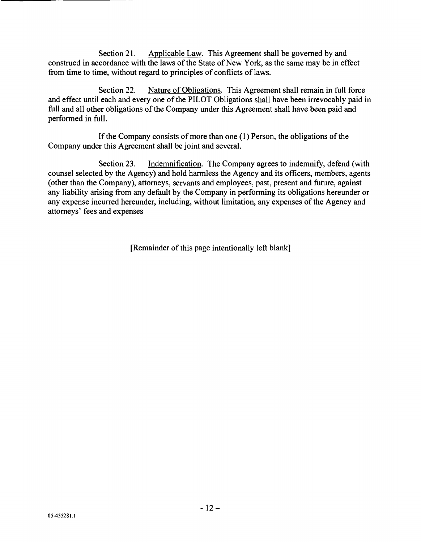Section 21. Applicable Law. This Agreement shall be governed by and construed in accordance with the laws of the State of New York, as the same may be in effect from time to time, without regard to principles of conflicts of laws.

Section 22. Nature of Obligations. This Agreement shall remain in full force and effect until each and every one of the PILOT Obligations shall have been irrevocably paid in full and all other obligations of the Company under this Agreement shall have been paid and performed in full.

If the Company consists of more than one (1) Person, the obligations of the Company under this Agreement shall be joint and several.

Section 23. Indemnification. The Company agrees to indemnify, defend (with counsel selected by the Agency) and hold harmless the Agency and its officers, members, agents (other than the Company), attorneys, servants and employees, past, present and future, against any liability arising from any default by the Company in performing its obligations hereunder or any expense incurred hereunder, including, without limitation, any expenses of the Agency and attorneys' fees and expenses

[Remainder of this page intentionally left blank]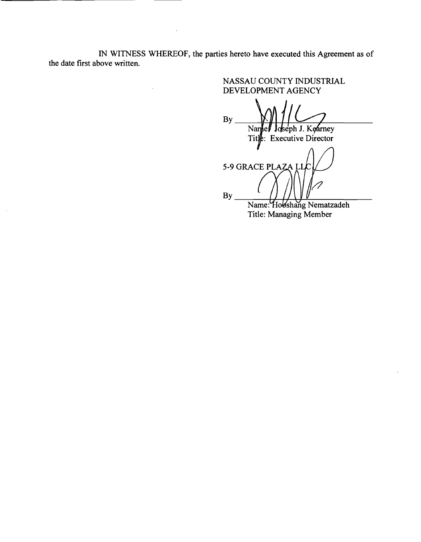IN WITNESS WHEREOF, the parties hereto have executed this Agreement as of the date first above written.

 $\mathcal{A}$ 

NASSAU COUNTY INDUSTRIAL DEVELOPMENT AGENCY By Namel Joseph J. Kearney Tit $\psi$ : Executive Director

5-9 GRACE PLAZA By Alig Name: o shang Nematzadeh

Title: Managing Member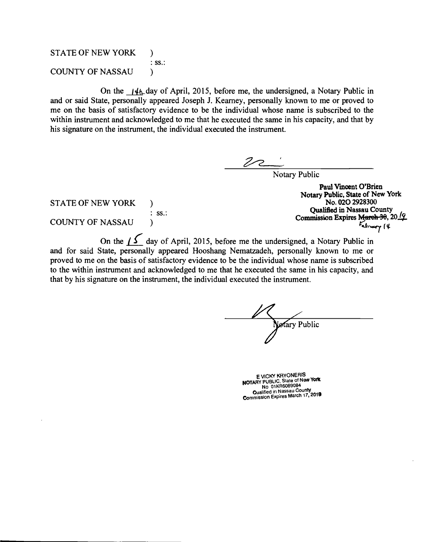## STATE OF NEW YORK  $:$  SS $.$ : COUNTY OF NASSAU

On the  $14L$  day of April, 2015, before me, the undersigned, a Notary Public in and or said State, personally appeared Joseph J. Kearney, personally known to me or proved to me on the basis of satisfactory evidence to be the individual whose name is subscribed to the within instrument and acknowledged to me that he executed the same in his capacity, and that by his signature on the instrument, the individual executed the instrument.

Notary Public

**STATE OF NEW YORK** )  $:$  SS.: COUNTY OF NASSAU j  $\sim$ 

Paul Vincent O'Brien Notary Public, State of New York Qualified in Nassau County Commission Expires March 30, 2019

NASSAU (a)<br>On the  $\int \int$  day of April, 2015, before me the undersigned, a Notary Public in and for said State, personally appeared Hooshang Nematzadeh, personally known to me or proved to me on the basis of satisfactory evidence to be the individual whose name is subscribed to the within instrument and acknowledged to me that he executed the same in his capacity, and that by his signature on the instrument, the individual executed the instrument.

Notary Public

E VICKY KHYONERIS<br>NOTARY PUBLIC, State of New York<br>No 01KR6089084 Qualified in Nassau County Commission Expires March 17, <sup>2019</sup>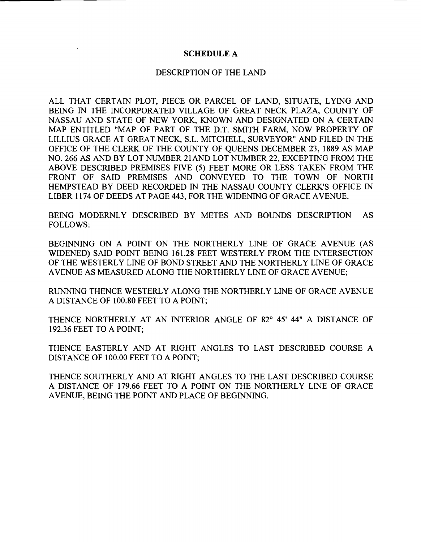#### SCHEDULE A

#### DESCRIPTION OF THE LAND

ALL THAT CERTAIN PLOT, PIECE OR PARCEL OF LAND, SITUATE, LYING AND BEING IN THE INCORPORATED VILLAGE OF GREAT NECK PLAZA, COUNTY OF NASSAU AND STATE OF NEW YORK, KNOWN AND DESIGNATED ON A CERTAIN MAP ENTITLED "MAP OF PART OF THE D.T. SMITH FARM, NOW PROPERTY OF LILLIUS GRACE AT GREAT NECK, S.L. MITCHELL, SURVEYOR" AND FILED IN THE OFFICE OF THE CLERK OF THE COUNTY OF QUEENS DECEMBER 23, 1889 AS MAP NO. 266 AS AND BY LOT NUMBER 21 AND LOT NUMBER 22, EXCEPTING FROM THE ABOVE DESCRIBED PREMISES FIVE (5) FEET MORE OR LESS TAKEN FROM THE FRONT OF SAID PREMISES AND CONVEYED TO THE TOWN OF NORTH HEMPSTEAD BY DEED RECORDED IN THE NASSAU COUNTY CLERK'S OFFICE IN LIBER 1174 OF DEEDS AT PAGE 443, FOR THE WIDENING OF GRACE AVENUE.

BEING MODERNLY DESCRIBED BY METES AND BOUNDS DESCRIPTION AS FOLLOWS:

BEGINNING ON A POINT ON THE NORTHERLY LINE OF GRACE AVENUE (AS WIDENED) SAID POINT BEING 161.28 FEET WESTERLY FROM THE INTERSECTION OF THE WESTERLY LINE OF BOND STREET AND THE NORTHERLY LINE OF GRACE AVENUE AS MEASURED ALONG THE NORTHERLY LINE OF GRACE AVENUE;

RUNNING THENCE WESTERLY ALONG THE NORTHERLY LINE OF GRACE AVENUE A DISTANCE OF 100.80 FEET TO A POINT;

THENCE NORTHERLY AT AN INTERIOR ANGLE OF 82° 45' 44" A DISTANCE OF 192.36 FEET TO A POINT;

THENCE EASTERLY AND AT RIGHT ANGLES TO LAST DESCRIBED COURSE A DISTANCE OF 100.00 FEET TO A POINT;

THENCE SOUTHERLY AND AT RIGHT ANGLES TO THE LAST DESCRIBED COURSE A DISTANCE OF 179.66 FEET TO A POINT ON THE NORTHERLY LINE OF GRACE AVENUE, BEING THE POINT AND PLACE OF BEGINNING.